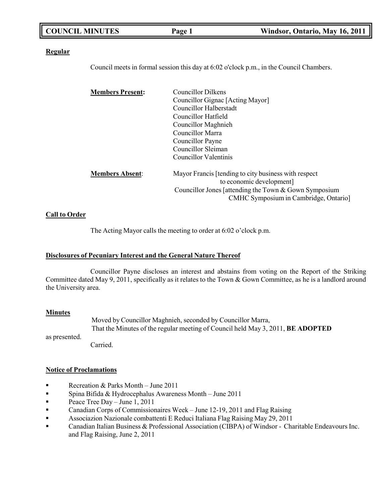| <b>COUNCIL MINUTES</b> | Page 1 | Windsor, Ontario, May 16, 2011 |
|------------------------|--------|--------------------------------|
|                        |        |                                |

#### **Regular**

Council meets in formal session this day at 6:02 o'clock p.m., in the Council Chambers.

| <b>Members Present:</b> | <b>Councillor Dilkens</b>                               |
|-------------------------|---------------------------------------------------------|
|                         | Councillor Gignac [Acting Mayor]                        |
|                         | Councillor Halberstadt                                  |
|                         | Councillor Hatfield                                     |
|                         | Councillor Maghnieh                                     |
|                         | Councillor Marra                                        |
|                         | Councillor Payne                                        |
|                         | Councillor Sleiman                                      |
|                         | Councillor Valentinis                                   |
| <b>Members Absent:</b>  | Mayor Francis [tending to city business with respect    |
|                         | to economic development]                                |
|                         | Councillor Jones [attending the Town $&$ Gown Symposium |
|                         | CMHC Symposium in Cambridge, Ontario]                   |

#### **Call to Order**

The Acting Mayor calls the meeting to order at 6:02 o'clock p.m.

#### **Disclosures of Pecuniary Interest and the General Nature Thereof**

Councillor Payne discloses an interest and abstains from voting on the Report of the Striking Committee dated May 9, 2011, specifically as it relates to the Town & Gown Committee, as he is a landlord around the University area.

#### **Minutes**

Moved by Councillor Maghnieh, seconded by Councillor Marra, That the Minutes of the regular meeting of Council held May 3, 2011, **BE ADOPTED**

as presented.

Carried.

#### **Notice of Proclamations**

- Recreation & Parks Month June 2011
- Spina Bifida & Hydrocephalus Awareness Month June 2011
- **•** Peace Tree Day June 1, 2011
- **•** Canadian Corps of Commissionaires Week June 12-19, 2011 and Flag Raising
- Associazion Nazionale combattenti E Reduci Italiana Flag Raising May 29, 2011
- Canadian Italian Business & Professional Association (CIBPA) of Windsor Charitable Endeavours Inc. and Flag Raising, June 2, 2011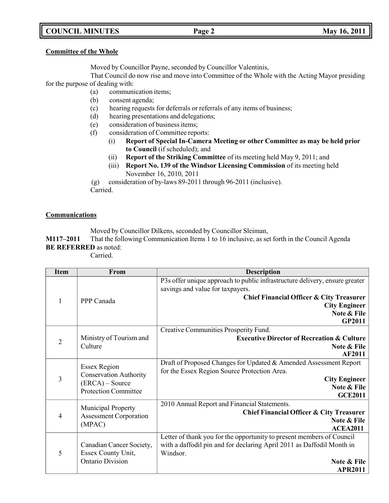# **COUNCIL MINUTES Page 2 May 16, 2011**

#### **Committee of the Whole**

Moved by Councillor Payne, seconded by Councillor Valentinis,

That Council do now rise and move into Committee of the Whole with the Acting Mayor presiding for the purpose of dealing with:

- (a) communication items;
- (b) consent agenda;
- (c) hearing requests for deferrals or referrals of any items of business;
- (d) hearing presentations and delegations;
- (e) consideration of business items;
- (f) consideration of Committee reports:
	- (i) **Report of Special In-Camera Meeting or other Committee as may be held prior to Council** (if scheduled); and
	- (ii) **Report of the Striking Committee** of its meeting held May 9, 2011; and
	- (iii) **Report No. 139 of the Windsor Licensing Commission** of its meeting held November 16, 2010, 2011

(g) consideration of by-laws 89-2011 through 96-2011 (inclusive). Carried.

### **Communications**

Moved by Councillor Dilkens, seconded by Councillor Sleiman,

**M117–2011** That the following Communication Items 1 to 16 inclusive, as set forth in the Council Agenda **BE REFERRED** as noted:

Carried.

| <b>Item</b>    | From                                                       | <b>Description</b>                                                                                                |
|----------------|------------------------------------------------------------|-------------------------------------------------------------------------------------------------------------------|
|                |                                                            | P3s offer unique approach to public infrastructure delivery, ensure greater<br>savings and value for taxpayers.   |
|                |                                                            | Chief Financial Officer & City Treasurer                                                                          |
| $\mathbf{1}$   | PPP Canada                                                 | <b>City Engineer</b>                                                                                              |
|                |                                                            | Note & File                                                                                                       |
|                |                                                            | <b>GP2011</b>                                                                                                     |
|                |                                                            | Creative Communities Prosperity Fund.                                                                             |
| $\overline{2}$ | Ministry of Tourism and                                    | <b>Executive Director of Recreation &amp; Culture</b>                                                             |
|                | Culture                                                    | Note & File                                                                                                       |
|                |                                                            | <b>AF2011</b>                                                                                                     |
|                | <b>Essex Region</b>                                        | Draft of Proposed Changes for Updated & Amended Assessment Report<br>for the Essex Region Source Protection Area. |
| $\overline{3}$ | <b>Conservation Authority</b>                              | <b>City Engineer</b>                                                                                              |
|                | $(ERCA) - Source$                                          | Note & File                                                                                                       |
|                | <b>Protection Committee</b>                                | <b>GCE2011</b>                                                                                                    |
|                |                                                            | 2010 Annual Report and Financial Statements.                                                                      |
| 4              | <b>Municipal Property</b><br><b>Assessment Corporation</b> | <b>Chief Financial Officer &amp; City Treasurer</b>                                                               |
|                | (MPAC)                                                     | Note & File                                                                                                       |
|                |                                                            | <b>ACEA2011</b>                                                                                                   |
|                |                                                            | Letter of thank you for the opportunity to present members of Council                                             |
|                | Canadian Cancer Society,                                   | with a daffodil pin and for declaring April 2011 as Daffodil Month in                                             |
| 5              | Essex County Unit,                                         | Windsor.                                                                                                          |
|                | Ontario Division                                           | Note & File                                                                                                       |
|                |                                                            | <b>APR2011</b>                                                                                                    |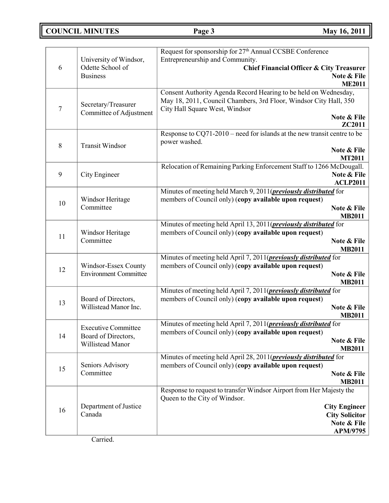**COUNCIL MINUTES Page 3 May 16, 2011**

| 6                | University of Windsor,<br>Odette School of<br><b>Business</b>         | Request for sponsorship for 27 <sup>th</sup> Annual CCSBE Conference<br>Entrepreneurship and Community.<br><b>Chief Financial Officer &amp; City Treasurer</b><br>Note & File<br><b>ME2011</b>   |
|------------------|-----------------------------------------------------------------------|--------------------------------------------------------------------------------------------------------------------------------------------------------------------------------------------------|
| $\tau$           | Secretary/Treasurer<br>Committee of Adjustment                        | Consent Authority Agenda Record Hearing to be held on Wednesday,<br>May 18, 2011, Council Chambers, 3rd Floor, Windsor City Hall, 350<br>City Hall Square West, Windsor<br>Note & File<br>ZC2011 |
| 8                | <b>Transit Windsor</b>                                                | Response to $CQ71-2010$ – need for islands at the new transit centre to be<br>power washed.<br>Note & File<br><b>MT2011</b>                                                                      |
| $\boldsymbol{9}$ | City Engineer                                                         | Relocation of Remaining Parking Enforcement Staff to 1266 McDougall.<br>Note & File<br><b>ACLP2011</b>                                                                                           |
| 10               | Windsor Heritage<br>Committee                                         | Minutes of meeting held March 9, 2011( <i>previously distributed</i> for<br>members of Council only) (copy available upon request)<br>Note & File<br><b>MB2011</b>                               |
| 11               | Windsor Heritage<br>Committee                                         | Minutes of meeting held April 13, 2011( <i>previously distributed</i> for<br>members of Council only) (copy available upon request)<br>Note & File<br><b>MB2011</b>                              |
| 12               | Windsor-Essex County<br><b>Environment Committee</b>                  | Minutes of meeting held April 7, 2011( <i>previously distributed</i> for<br>members of Council only) (copy available upon request)<br>Note & File<br><b>MB2011</b>                               |
| 13               | Board of Directors,<br>Willistead Manor Inc.                          | Minutes of meeting held April 7, 2011( <i>previously distributed</i> for<br>members of Council only) (copy available upon request)<br>Note & File<br><b>MB2011</b>                               |
| 14               | <b>Executive Committee</b><br>Board of Directors,<br>Willistead Manor | Minutes of meeting held April 7, 2011( <i>previously distributed</i> for<br>members of Council only) (copy available upon request)<br>Note & File<br><b>MB2011</b>                               |
| 15               | Seniors Advisory<br>Committee                                         | Minutes of meeting held April 28, 2011( <i>previously distributed</i> for<br>members of Council only) (copy available upon request)<br>Note & File<br><b>MB2011</b>                              |
| 16               | Department of Justice<br>Canada                                       | Response to request to transfer Windsor Airport from Her Majesty the<br>Queen to the City of Windsor.<br><b>City Engineer</b><br><b>City Solicitor</b><br>Note & File<br><b>APM/9795</b>         |

Carried.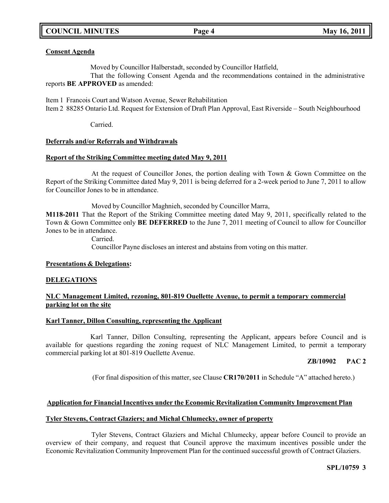# **COUNCIL MINUTES Page 4 May 16, 2011**

### **Consent Agenda**

Moved by Councillor Halberstadt, seconded by Councillor Hatfield,

That the following Consent Agenda and the recommendations contained in the administrative reports **BE APPROVED** as amended:

Item 1 Francois Court and Watson Avenue, Sewer Rehabilitation Item 2 88285 Ontario Ltd. Request for Extension of Draft Plan Approval, East Riverside – South Neighbourhood

Carried.

#### **Deferrals and/or Referrals and Withdrawals**

#### **Report of the Striking Committee meeting dated May 9, 2011**

At the request of Councillor Jones, the portion dealing with Town & Gown Committee on the Report of the Striking Committee dated May 9, 2011 is being deferred for a 2-week period to June 7, 2011 to allow for Councillor Jones to be in attendance.

Moved by Councillor Maghnieh, seconded by Councillor Marra,

**M118-2011** That the Report of the Striking Committee meeting dated May 9, 2011, specifically related to the Town & Gown Committee only **BE DEFERRED** to the June 7, 2011 meeting of Council to allow for Councillor Jones to be in attendance.

Carried.

Councillor Payne discloses an interest and abstains from voting on this matter.

#### **Presentations & Delegations:**

#### **DELEGATIONS**

### **NLC Management Limited, rezoning, 801-819 Ouellette Avenue, to permit a temporary commercial parking lot on the site**

#### **Karl Tanner, Dillon Consulting, representing the Applicant**

Karl Tanner, Dillon Consulting, representing the Applicant, appears before Council and is available for questions regarding the zoning request of NLC Management Limited, to permit a temporary commercial parking lot at 801-819 Ouellette Avenue.

### **ZB/10902 PAC 2**

(For final disposition of this matter, see Clause **CR170/2011** in Schedule "A" attached hereto.)

#### **Application for Financial Incentives under the Economic Revitalization Community Improvement Plan**

### **Tyler Stevens, Contract Glaziers; and Michal Chlumecky, owner of property**

Tyler Stevens, Contract Glaziers and Michal Chlumecky, appear before Council to provide an overview of their company, and request that Council approve the maximum incentives possible under the Economic Revitalization Community Improvement Plan for the continued successful growth of Contract Glaziers.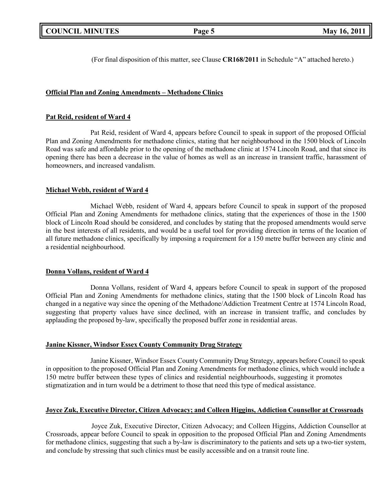(For final disposition of this matter, see Clause **CR168/2011** in Schedule "A" attached hereto.)

## **Official Plan and Zoning Amendments – Methadone Clinics**

### **Pat Reid, resident of Ward 4**

Pat Reid, resident of Ward 4, appears before Council to speak in support of the proposed Official Plan and Zoning Amendments for methadone clinics, stating that her neighbourhood in the 1500 block of Lincoln Road was safe and affordable prior to the opening of the methadone clinic at 1574 Lincoln Road, and that since its opening there has been a decrease in the value of homes as well as an increase in transient traffic, harassment of homeowners, and increased vandalism.

### **Michael Webb, resident of Ward 4**

Michael Webb, resident of Ward 4, appears before Council to speak in support of the proposed Official Plan and Zoning Amendments for methadone clinics, stating that the experiences of those in the 1500 block of Lincoln Road should be considered, and concludes by stating that the proposed amendments would serve in the best interests of all residents, and would be a useful tool for providing direction in terms of the location of all future methadone clinics, specifically by imposing a requirement for a 150 metre buffer between any clinic and a residential neighbourhood.

#### **Donna Vollans, resident of Ward 4**

Donna Vollans, resident of Ward 4, appears before Council to speak in support of the proposed Official Plan and Zoning Amendments for methadone clinics, stating that the 1500 block of Lincoln Road has changed in a negative way since the opening of the Methadone/Addiction Treatment Centre at 1574 Lincoln Road, suggesting that property values have since declined, with an increase in transient traffic, and concludes by applauding the proposed by-law, specifically the proposed buffer zone in residential areas.

### **Janine Kissner, Windsor Essex County Community Drug Strategy**

Janine Kissner, Windsor Essex County Community Drug Strategy, appears before Council to speak in opposition to the proposed Official Plan and Zoning Amendments for methadone clinics, which would include a 150 metre buffer between these types of clinics and residential neighbourhoods, suggesting it promotes stigmatization and in turn would be a detriment to those that need this type of medical assistance.

### **Joyce Zuk, Executive Director, Citizen Advocacy; and Colleen Higgins, Addiction Counsellor at Crossroads**

Joyce Zuk, Executive Director, Citizen Advocacy; and Colleen Higgins, Addiction Counsellor at Crossroads, appear before Council to speak in opposition to the proposed Official Plan and Zoning Amendments for methadone clinics, suggesting that such a by-law is discriminatory to the patients and sets up a two-tier system, and conclude by stressing that such clinics must be easily accessible and on a transit route line.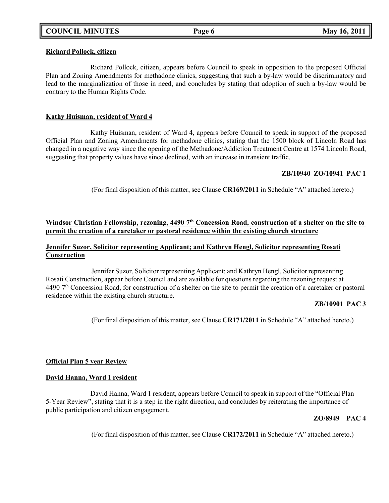#### **Richard Pollock, citizen**

Richard Pollock, citizen, appears before Council to speak in opposition to the proposed Official Plan and Zoning Amendments for methadone clinics, suggesting that such a by-law would be discriminatory and lead to the marginalization of those in need, and concludes by stating that adoption of such a by-law would be contrary to the Human Rights Code.

### **Kathy Huisman, resident of Ward 4**

Kathy Huisman, resident of Ward 4, appears before Council to speak in support of the proposed Official Plan and Zoning Amendments for methadone clinics, stating that the 1500 block of Lincoln Road has changed in a negative way since the opening of the Methadone/Addiction Treatment Centre at 1574 Lincoln Road, suggesting that property values have since declined, with an increase in transient traffic.

# **ZB/10940 ZO/10941 PAC 1**

(For final disposition of this matter, see Clause **CR169/2011** in Schedule "A" attached hereto.)

### Windsor Christian Fellowship, rezoning, 4490 7th Concession Road, construction of a shelter on the site to **permit the creation of a caretaker or pastoral residence within the existing church structure**

### **Jennifer Suzor, Solicitor representing Applicant; and Kathryn Hengl, Solicitor representing Rosati Construction**

Jennifer Suzor, Solicitor representing Applicant; and Kathryn Hengl, Solicitor representing Rosati Construction, appear before Council and are available for questions regarding the rezoning request at 4490 7<sup>th</sup> Concession Road, for construction of a shelter on the site to permit the creation of a caretaker or pastoral residence within the existing church structure.

# **ZB/10901 PAC 3**

(For final disposition of this matter, see Clause **CR171/2011** in Schedule "A" attached hereto.)

### **Official Plan 5 year Review**

### **David Hanna, Ward 1 resident**

David Hanna, Ward 1 resident, appears before Council to speak in support of the "Official Plan 5-Year Review", stating that it is a step in the right direction, and concludes by reiterating the importance of public participation and citizen engagement.

### **ZO/8949 PAC 4**

(For final disposition of this matter, see Clause **CR172/2011** in Schedule "A" attached hereto.)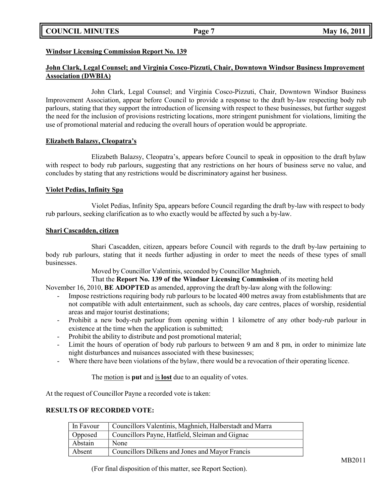# **COUNCIL MINUTES Page 7 May 16, 2011**

### **Windsor Licensing Commission Report No. 139**

### **John Clark, Legal Counsel; and Virginia Cosco-Pizzuti, Chair, Downtown Windsor Business Improvement Association (DWBIA)**

John Clark, Legal Counsel; and Virginia Cosco-Pizzuti, Chair, Downtown Windsor Business Improvement Association, appear before Council to provide a response to the draft by-law respecting body rub parlours, stating that they support the introduction of licensing with respect to these businesses, but further suggest the need for the inclusion of provisions restricting locations, more stringent punishment for violations, limiting the use of promotional material and reducing the overall hours of operation would be appropriate.

#### **Elizabeth Balazsy, Cleopatra's**

Elizabeth Balazsy, Cleopatra's, appears before Council to speak in opposition to the draft bylaw with respect to body rub parlours, suggesting that any restrictions on her hours of business serve no value, and concludes by stating that any restrictions would be discriminatory against her business.

#### **Violet Pedias, Infinity Spa**

Violet Pedias, Infinity Spa, appears before Council regarding the draft by-law with respect to body rub parlours, seeking clarification as to who exactly would be affected by such a by-law.

#### **Shari Cascadden, citizen**

Shari Cascadden, citizen, appears before Council with regards to the draft by-law pertaining to body rub parlours, stating that it needs further adjusting in order to meet the needs of these types of small businesses.

Moved by Councillor Valentinis, seconded by Councillor Maghnieh,

That the **Report No. 139 of the Windsor Licensing Commission** of its meeting held

November 16, 2010, **BE ADOPTED** as amended, approving the draft by-law along with the following:

- Impose restrictions requiring body rub parlours to be located 400 metres away from establishments that are not compatible with adult entertainment, such as schools, day care centres, places of worship, residential areas and major tourist destinations;
- Prohibit a new body-rub parlour from opening within 1 kilometre of any other body-rub parlour in existence at the time when the application is submitted;
- Prohibit the ability to distribute and post promotional material;
- Limit the hours of operation of body rub parlours to between 9 am and 8 pm, in order to minimize late night disturbances and nuisances associated with these businesses;
- Where there have been violations of the bylaw, there would be a revocation of their operating licence.

The motion is **put** and is **lost** due to an equality of votes.

At the request of Councillor Payne a recorded vote is taken:

### **RESULTS OF RECORDED VOTE:**

| In Favour | Councillors Valentinis, Maghnieh, Halberstadt and Marra |
|-----------|---------------------------------------------------------|
| Opposed   | Councillors Payne, Hatfield, Sleiman and Gignac         |
| Abstain   | None                                                    |
| Absent    | Councillors Dilkens and Jones and Mayor Francis         |

(For final disposition of this matter, see Report Section).

MB2011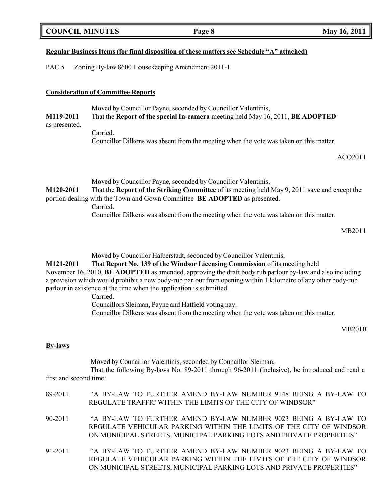| <b>COUNCIL MINUTES</b> |  |
|------------------------|--|
|------------------------|--|

### **Regular Business Items (for final disposition of these matters see Schedule "A" attached)**

PAC 5 Zoning By-law 8600 Housekeeping Amendment 2011-1

#### **Consideration of Committee Reports**

Moved by Councillor Payne, seconded by Councillor Valentinis, **M119-2011** That the **Report of the special In-camera** meeting held May 16, 2011, **BE ADOPTED**

as presented.

Carried. Councillor Dilkens was absent from the meeting when the vote was taken on this matter.

ACO2011

Moved by Councillor Payne, seconded by Councillor Valentinis, **M120-2011** That the **Report of the Striking Committee** of its meeting held May 9, 2011 save and except the portion dealing with the Town and Gown Committee **BE ADOPTED** as presented. Carried.

Councillor Dilkens was absent from the meeting when the vote was taken on this matter.

MB2011

Moved by Councillor Halberstadt, seconded by Councillor Valentinis,

**M121-2011** That **Report No. 139 of the Windsor Licensing Commission** of its meeting held November 16, 2010, **BE ADOPTED** as amended, approving the draft body rub parlour by-law and also including a provision which would prohibit a new body-rub parlour from opening within 1 kilometre of any other body-rub parlour in existence at the time when the application is submitted.

Carried.

Councillors Sleiman, Payne and Hatfield voting nay.

Councillor Dilkens was absent from the meeting when the vote was taken on this matter.

MB2010

### **By-laws**

Moved by Councillor Valentinis, seconded by Councillor Sleiman,

That the following By-laws No. 89-2011 through 96-2011 (inclusive), be introduced and read a first and second time:

| 89-2011 | "A BY-LAW TO FURTHER AMEND BY-LAW NUMBER 9148 BEING A BY-LAW TO      |
|---------|----------------------------------------------------------------------|
|         | REGULATE TRAFFIC WITHIN THE LIMITS OF THE CITY OF WINDSOR"           |
| 90-2011 | "A BY-LAW TO FURTHER AMEND BY-LAW NUMBER 9023 BEING A BY-LAW TO      |
|         | REGULATE VEHICULAR PARKING WITHIN THE LIMITS OF THE CITY OF WINDSOR  |
|         | ON MUNICIPAL STREETS, MUNICIPAL PARKING LOTS AND PRIVATE PROPERTIES" |
| 91-2011 | "A BY-LAW TO FURTHER AMEND BY-LAW NUMBER 9023 BEING A BY-LAW TO      |
|         | REGULATE VEHICULAR PARKING WITHIN THE LIMITS OF THE CITY OF WINDSOR  |
|         | ON MUNICIPAL STREETS, MUNICIPAL PARKING LOTS AND PRIVATE PROPERTIES" |

**Page 8 May 16, 2011**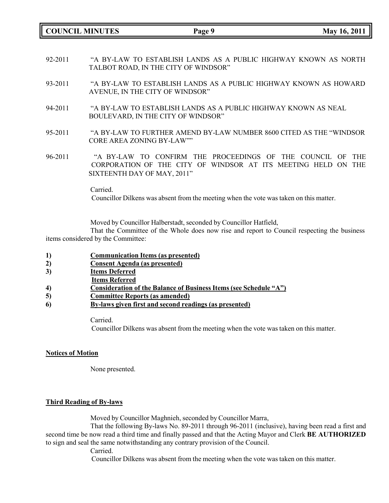**COUNCIL MINUTES Page 9 May 16, 2011**

- 92-2011 "A BY-LAW TO ESTABLISH LANDS AS A PUBLIC HIGHWAY KNOWN AS NORTH TALBOT ROAD, IN THE CITY OF WINDSOR"
- 93-2011 "A BY-LAW TO ESTABLISH LANDS AS A PUBLIC HIGHWAY KNOWN AS HOWARD AVENUE, IN THE CITY OF WINDSOR"
- 94-2011 "A BY-LAW TO ESTABLISH LANDS AS A PUBLIC HIGHWAY KNOWN AS NEAL BOULEVARD, IN THE CITY OF WINDSOR"
- 95-2011 "A BY-LAW TO FURTHER AMEND BY-LAW NUMBER 8600 CITED AS THE "WINDSOR CORE AREA ZONING BY-LAW""
- 96-2011 "A BY-LAW TO CONFIRM THE PROCEEDINGS OF THE COUNCIL OF THE CORPORATION OF THE CITY OF WINDSOR AT ITS MEETING HELD ON THE SIXTEENTH DAY OF MAY, 2011"

Carried.

Councillor Dilkens was absent from the meeting when the vote was taken on this matter.

Moved by Councillor Halberstadt, seconded by Councillor Hatfield,

That the Committee of the Whole does now rise and report to Council respecting the business items considered by the Committee:

- **1) Communication Items (as presented)**
- **2) Consent Agenda (as presented)**
- **3) Items Deferred**
- **Items Referred**
- **4) Consideration of the Balance of Business Items (see Schedule "A")**
- **5) Committee Reports (as amended)**
- **6) By-laws given first and second readings (as presented)**

Carried.

Councillor Dilkens was absent from the meeting when the vote was taken on this matter.

#### **Notices of Motion**

None presented.

#### **Third Reading of By-laws**

Moved by Councillor Maghnieh, seconded by Councillor Marra,

That the following By-laws No. 89-2011 through 96-2011 (inclusive), having been read a first and second time be now read a third time and finally passed and that the Acting Mayor and Clerk **BE AUTHORIZED** to sign and seal the same notwithstanding any contrary provision of the Council.

Carried.

Councillor Dilkens was absent from the meeting when the vote was taken on this matter.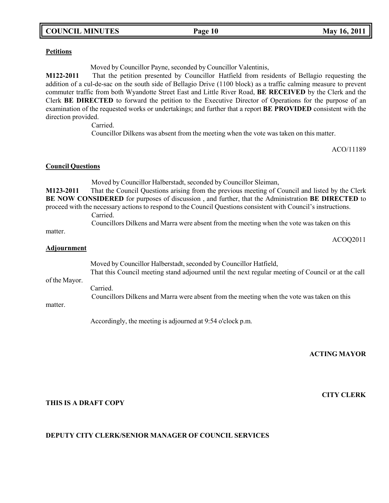# **COUNCIL MINUTES Page 10 May 16, 2011**

### **Petitions**

Moved by Councillor Payne, seconded by Councillor Valentinis,

**M122-2011** That the petition presented by Councillor Hatfield from residents of Bellagio requesting the addition of a cul-de-sac on the south side of Bellagio Drive (1100 block) as a traffic calming measure to prevent commuter traffic from both Wyandotte Street East and Little River Road, **BE RECEIVED** by the Clerk and the Clerk **BE DIRECTED** to forward the petition to the Executive Director of Operations for the purpose of an examination of the requested works or undertakings; and further that a report **BE PROVIDED** consistent with the direction provided.

Carried.

Councillor Dilkens was absent from the meeting when the vote was taken on this matter.

ACO/11189

#### **Council Questions**

Moved by Councillor Halberstadt, seconded by Councillor Sleiman, **M123-2011** That the Council Questions arising from the previous meeting of Council and listed by the Clerk **BE NOW CONSIDERED** for purposes of discussion , and further, that the Administration **BE DIRECTED** to proceed with the necessary actions to respond to the Council Questions consistent with Council's instructions. Carried.

Councillors Dilkens and Marra were absent from the meeting when the vote was taken on this

matter.

ACOQ2011

#### **Adjournment**

Moved by Councillor Halberstadt, seconded by Councillor Hatfield,

of the Mayor. That this Council meeting stand adjourned until the next regular meeting of Council or at the call

Carried.

Councillors Dilkens and Marra were absent from the meeting when the vote was taken on this

matter.

Accordingly, the meeting is adjourned at 9:54 o'clock p.m.

**ACTING MAYOR**

### **CITY CLERK**

### **THIS IS A DRAFT COPY**

### **DEPUTY CITY CLERK/SENIOR MANAGER OF COUNCIL SERVICES**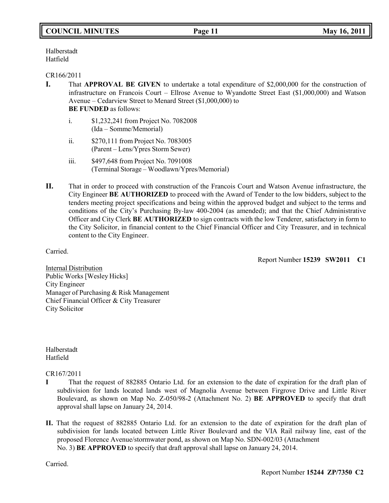Halberstadt Hatfield

#### CR166/2011

- **I.** That **APPROVAL BE GIVEN** to undertake a total expenditure of \$2,000,000 for the construction of infrastructure on Francois Court – Ellrose Avenue to Wyandotte Street East (\$1,000,000) and Watson Avenue – Cedarview Street to Menard Street (\$1,000,000) to **BE FUNDED** as follows:
	- i. \$1,232,241 from Project No. 7082008 (Ida – Somme/Memorial)
	- ii. \$270,111 from Project No. 7083005 (Parent – Lens/Ypres Storm Sewer)
	- iii. \$497,648 from Project No. 7091008 (Terminal Storage – Woodlawn/Ypres/Memorial)
- **II.** That in order to proceed with construction of the Francois Court and Watson Avenue infrastructure, the City Engineer **BE AUTHORIZED** to proceed with the Award of Tender to the low bidders, subject to the tenders meeting project specifications and being within the approved budget and subject to the terms and conditions of the City's Purchasing By-law 400-2004 (as amended); and that the Chief Administrative Officer and City Clerk **BE AUTHORIZED** to sign contracts with the low Tenderer, satisfactory in form to the City Solicitor, in financial content to the Chief Financial Officer and City Treasurer, and in technical content to the City Engineer.

Carried.

Report Number **15239 SW2011 C1**

Internal Distribution Public Works [Wesley Hicks] City Engineer Manager of Purchasing & Risk Management Chief Financial Officer & City Treasurer City Solicitor

Halberstadt Hatfield

CR167/2011

- **I** That the request of 882885 Ontario Ltd. for an extension to the date of expiration for the draft plan of subdivision for lands located lands west of Magnolia Avenue between Firgrove Drive and Little River Boulevard, as shown on Map No. Z-050/98-2 (Attachment No. 2) **BE APPROVED** to specify that draft approval shall lapse on January 24, 2014.
- **II.** That the request of 882885 Ontario Ltd. for an extension to the date of expiration for the draft plan of subdivision for lands located between Little River Boulevard and the VIA Rail railway line, east of the proposed Florence Avenue/stormwater pond, as shown on Map No. SDN-002/03 (Attachment No. 3) **BE APPROVED** to specify that draft approval shall lapse on January 24, 2014.

Carried.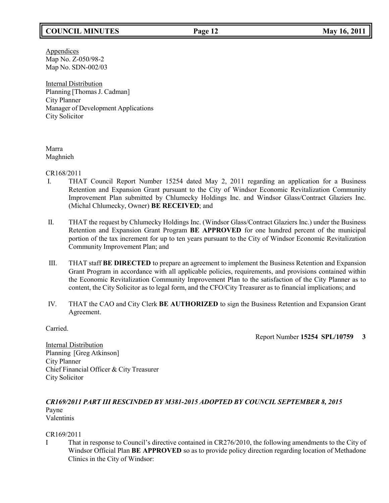# **COUNCIL MINUTES Page 12 May 16, 2011**

**Appendices** Map No. Z-050/98-2 Map No. SDN-002/03

Internal Distribution Planning [Thomas J. Cadman] City Planner Manager of Development Applications City Solicitor

Marra Maghnieh

CR168/2011

- I. THAT Council Report Number 15254 dated May 2, 2011 regarding an application for a Business Retention and Expansion Grant pursuant to the City of Windsor Economic Revitalization Community Improvement Plan submitted by Chlumecky Holdings Inc. and Windsor Glass/Contract Glaziers Inc. (Michal Chlumecky, Owner) **BE RECEIVED**; and
- II. THAT the request by Chlumecky Holdings Inc. (Windsor Glass/Contract Glaziers Inc.) under the Business Retention and Expansion Grant Program **BE APPROVED** for one hundred percent of the municipal portion of the tax increment for up to ten years pursuant to the City of Windsor Economic Revitalization Community Improvement Plan; and
- III. THAT staff **BE DIRECTED** to prepare an agreement to implement the Business Retention and Expansion Grant Program in accordance with all applicable policies, requirements, and provisions contained within the Economic Revitalization Community Improvement Plan to the satisfaction of the City Planner as to content, the City Solicitor as to legal form, and the CFO/City Treasurer as to financial implications; and
- IV. THAT the CAO and City Clerk **BE AUTHORIZED** to sign the Business Retention and Expansion Grant Agreement.

Carried.

Report Number **15254 SPL/10759 3**

Internal Distribution Planning [Greg Atkinson] City Planner Chief Financial Officer & City Treasurer City Solicitor

#### *CR169/2011 PART III RESCINDED BY M381-2015 ADOPTED BY COUNCIL SEPTEMBER 8, 2015* Payne Valentinis

### CR169/2011

I That in response to Council's directive contained in CR276/2010, the following amendments to the City of Windsor Official Plan **BE APPROVED** so as to provide policy direction regarding location of Methadone Clinics in the City of Windsor: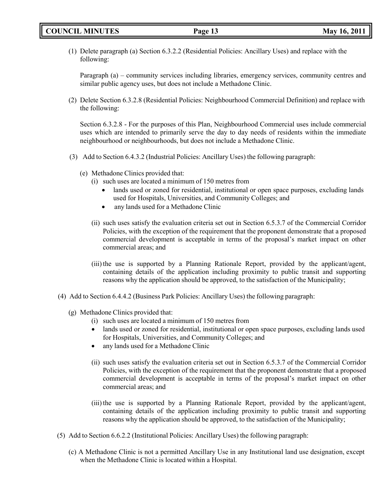(1) Delete paragraph (a) Section 6.3.2.2 (Residential Policies: Ancillary Uses) and replace with the following:

Paragraph (a) – community services including libraries, emergency services, community centres and similar public agency uses, but does not include a Methadone Clinic.

(2) Delete Section 6.3.2.8 (Residential Policies: Neighbourhood Commercial Definition) and replace with the following:

Section 6.3.2.8 - For the purposes of this Plan, Neighbourhood Commercial uses include commercial uses which are intended to primarily serve the day to day needs of residents within the immediate neighbourhood or neighbourhoods, but does not include a Methadone Clinic.

- (3) Add to Section 6.4.3.2 (Industrial Policies: Ancillary Uses) the following paragraph:
	- (e) Methadone Clinics provided that:
		- (i) such uses are located a minimum of 150 metres from
			- lands used or zoned for residential, institutional or open space purposes, excluding lands used for Hospitals, Universities, and Community Colleges; and
			- any lands used for a Methadone Clinic
		- (ii) such uses satisfy the evaluation criteria set out in Section 6.5.3.7 of the Commercial Corridor Policies, with the exception of the requirement that the proponent demonstrate that a proposed commercial development is acceptable in terms of the proposal's market impact on other commercial areas; and
		- (iii) the use is supported by a Planning Rationale Report, provided by the applicant/agent, containing details of the application including proximity to public transit and supporting reasons why the application should be approved, to the satisfaction of the Municipality;
- (4) Add to Section 6.4.4.2 (Business Park Policies: Ancillary Uses) the following paragraph:
	- (g) Methadone Clinics provided that:
		- (i) such uses are located a minimum of 150 metres from
		- lands used or zoned for residential, institutional or open space purposes, excluding lands used for Hospitals, Universities, and Community Colleges; and
		- any lands used for a Methadone Clinic
		- (ii) such uses satisfy the evaluation criteria set out in Section 6.5.3.7 of the Commercial Corridor Policies, with the exception of the requirement that the proponent demonstrate that a proposed commercial development is acceptable in terms of the proposal's market impact on other commercial areas; and
		- (iii) the use is supported by a Planning Rationale Report, provided by the applicant/agent, containing details of the application including proximity to public transit and supporting reasons why the application should be approved, to the satisfaction of the Municipality;
- (5) Add to Section 6.6.2.2 (Institutional Policies: Ancillary Uses) the following paragraph:
	- (c) A Methadone Clinic is not a permitted Ancillary Use in any Institutional land use designation, except when the Methadone Clinic is located within a Hospital.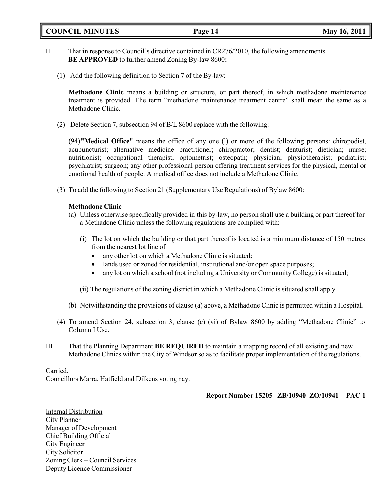**COUNCIL MINUTES Page 14 May 16, 2011**

- II That in response to Council's directive contained in CR276/2010, the following amendments **BE APPROVED** to further amend Zoning By-law 8600**:**
	- (1) Add the following definition to Section 7 of the By-law:

**Methadone Clinic** means a building or structure, or part thereof, in which methadone maintenance treatment is provided. The term "methadone maintenance treatment centre" shall mean the same as a Methadone Clinic.

(2) Delete Section 7, subsection 94 of B/L 8600 replace with the following:

(94)**"Medical Office"** means the office of any one (l) or more of the following persons: chiropodist, acupuncturist; alternative medicine practitioner; chiropractor; dentist; denturist; dietician; nurse; nutritionist; occupational therapist; optometrist; osteopath; physician; physiotherapist; podiatrist; psychiatrist; surgeon; any other professional person offering treatment services for the physical, mental or emotional health of people. A medical office does not include a Methadone Clinic.

(3) To add the following to Section 21 (Supplementary Use Regulations) of Bylaw 8600:

### **Methadone Clinic**

- (a) Unless otherwise specifically provided in this by-law, no person shall use a building or part thereof for a Methadone Clinic unless the following regulations are complied with:
	- (i) The lot on which the building or that part thereof is located is a minimum distance of 150 metres from the nearest lot line of
		- any other lot on which a Methadone Clinic is situated;
		- lands used or zoned for residential, institutional and/or open space purposes;
		- any lot on which a school (not including a University or Community College) is situated;
	- (ii) The regulations of the zoning district in which a Methadone Clinic is situated shall apply
- (b) Notwithstanding the provisions of clause (a) above, a Methadone Clinic is permitted within a Hospital.
- (4) To amend Section 24, subsection 3, clause (c) (vi) of Bylaw 8600 by adding "Methadone Clinic" to Column I Use.
- III That the Planning Department **BE REQUIRED** to maintain a mapping record of all existing and new Methadone Clinics within the City of Windsor so as to facilitate proper implementation of the regulations.

### Carried.

Councillors Marra, Hatfield and Dilkens voting nay.

### **Report Number 15205 ZB/10940 ZO/10941 PAC 1**

Internal Distribution City Planner Manager of Development Chief Building Official City Engineer City Solicitor Zoning Clerk – Council Services Deputy Licence Commissioner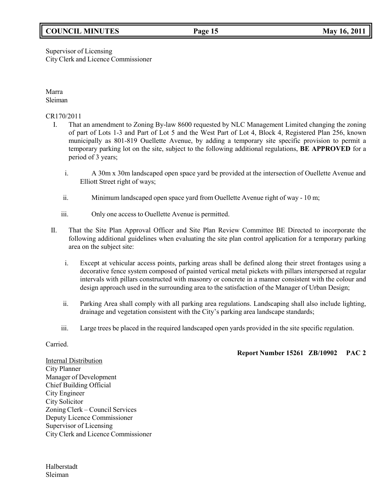# **COUNCIL MINUTES Page 15 May 16, 2011**

# Supervisor of Licensing City Clerk and Licence Commissioner

Marra Sleiman

CR170/2011

- I. That an amendment to Zoning By-law 8600 requested by NLC Management Limited changing the zoning of part of Lots 1-3 and Part of Lot 5 and the West Part of Lot 4, Block 4, Registered Plan 256, known municipally as 801-819 Ouellette Avenue, by adding a temporary site specific provision to permit a temporary parking lot on the site, subject to the following additional regulations, **BE APPROVED** for a period of 3 years;
	- i. A 30m x 30m landscaped open space yard be provided at the intersection of Ouellette Avenue and Elliott Street right of ways;
	- ii. Minimum landscaped open space yard from Ouellette Avenue right of way 10 m;
	- iii. Only one access to Ouellette Avenue is permitted.
- II. That the Site Plan Approval Officer and Site Plan Review Committee BE Directed to incorporate the following additional guidelines when evaluating the site plan control application for a temporary parking area on the subject site:
	- i. Except at vehicular access points, parking areas shall be defined along their street frontages using a decorative fence system composed of painted vertical metal pickets with pillars interspersed at regular intervals with pillars constructed with masonry or concrete in a manner consistent with the colour and design approach used in the surrounding area to the satisfaction of the Manager of Urban Design;
	- ii. Parking Area shall comply with all parking area regulations. Landscaping shall also include lighting, drainage and vegetation consistent with the City's parking area landscape standards;
	- iii. Large trees be placed in the required landscaped open yards provided in the site specific regulation.

Carried.

**Report Number 15261 ZB/10902 PAC 2**

Internal Distribution City Planner Manager of Development Chief Building Official City Engineer City Solicitor Zoning Clerk – Council Services Deputy Licence Commissioner Supervisor of Licensing City Clerk and Licence Commissioner

Halberstadt Sleiman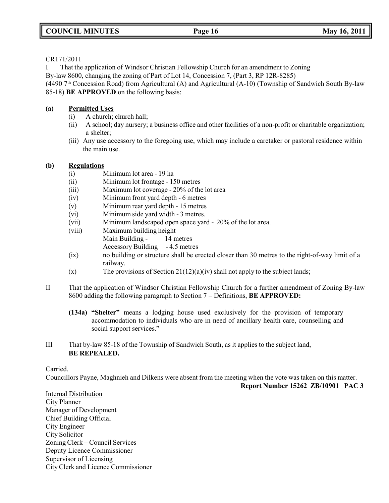### CR171/2011

I That the application of Windsor Christian Fellowship Church for an amendment to Zoning

By-law 8600, changing the zoning of Part of Lot 14, Concession 7, (Part 3, RP 12R-8285)

(4490 7 th Concession Road) from Agricultural (A) and Agricultural (A-10) (Township of Sandwich South By-law 85-18) **BE APPROVED** on the following basis:

## **(a) Permitted Uses**

- (i) A church; church hall;
- (ii) A school; day nursery; a business office and other facilities of a non-profit or charitable organization; a shelter;
- (iii) Any use accessory to the foregoing use, which may include a caretaker or pastoral residence within the main use.

### **(b) Regulations**

- (i) Minimum lot area 19 ha
- (ii) Minimum lot frontage 150 metres
- (iii) Maximum lot coverage 20% of the lot area
- (iv) Minimum front yard depth 6 metres
- (v) Minimum rear yard depth 15 metres
- (vi) Minimum side yard width 3 metres.
- (vii) Minimum landscaped open space yard 20% of the lot area.
- (viii) Maximum building height Main Building - 14 metres Accessory Building - 4.5 metres
- (ix) no building or structure shall be erected closer than 30 metres to the right-of-way limit of a railway.
- (x) The provisions of Section  $21(12)(a)(iv)$  shall not apply to the subject lands;
- II That the application of Windsor Christian Fellowship Church for a further amendment of Zoning By-law 8600 adding the following paragraph to Section 7 – Definitions, **BE APPROVED:**
	- **(134a) "Shelter"** means a lodging house used exclusively for the provision of temporary accommodation to individuals who are in need of ancillary health care, counselling and social support services."
- III That by-law 85-18 of the Township of Sandwich South, as it applies to the subject land, **BE REPEALED.**

### Carried.

Councillors Payne, Maghnieh and Dilkens were absent from the meeting when the vote was taken on this matter.

**Report Number 15262 ZB/10901 PAC 3**

Internal Distribution City Planner Manager of Development Chief Building Official City Engineer City Solicitor Zoning Clerk – Council Services Deputy Licence Commissioner Supervisor of Licensing City Clerk and Licence Commissioner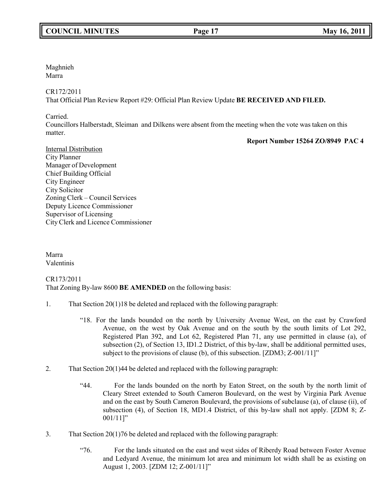# **COUNCIL MINUTES Page 17 May 16, 2011**

Maghnieh Marra

CR172/2011

That Official Plan Review Report #29: Official Plan Review Update **BE RECEIVED AND FILED.**

Carried.

Councillors Halberstadt, Sleiman and Dilkens were absent from the meeting when the vote was taken on this matter.

**Report Number 15264 ZO/8949 PAC 4**

Internal Distribution City Planner Manager of Development Chief Building Official City Engineer City Solicitor Zoning Clerk – Council Services Deputy Licence Commissioner Supervisor of Licensing City Clerk and Licence Commissioner

Marra Valentinis

CR173/2011 That Zoning By-law 8600 **BE AMENDED** on the following basis:

- 1. That Section 20(1)18 be deleted and replaced with the following paragraph:
	- "18. For the lands bounded on the north by University Avenue West, on the east by Crawford Avenue, on the west by Oak Avenue and on the south by the south limits of Lot 292, Registered Plan 392, and Lot 62, Registered Plan 71, any use permitted in clause (a), of subsection (2), of Section 13, ID1.2 District, of this by-law, shall be additional permitted uses, subject to the provisions of clause (b), of this subsection. [ZDM3; Z-001/11]"
- 2. That Section 20(1)44 be deleted and replaced with the following paragraph:
	- "44. For the lands bounded on the north by Eaton Street, on the south by the north limit of Cleary Street extended to South Cameron Boulevard, on the west by Virginia Park Avenue and on the east by South Cameron Boulevard, the provisions of subclause (a), of clause (ii), of subsection (4), of Section 18, MD1.4 District, of this by-law shall not apply. [ZDM 8; Z-001/11]"
- 3. That Section 20(1)76 be deleted and replaced with the following paragraph:
	- "76. For the lands situated on the east and west sides of Riberdy Road between Foster Avenue and Ledyard Avenue, the minimum lot area and minimum lot width shall be as existing on August 1, 2003. [ZDM 12; Z-001/11]"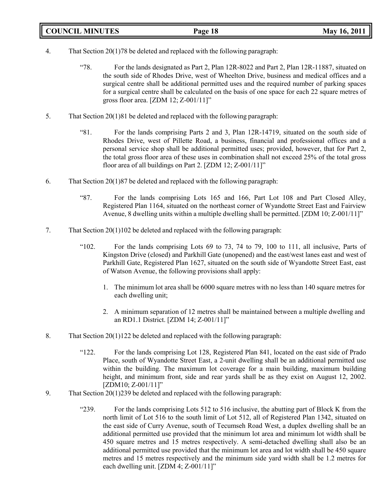# **COUNCIL MINUTES Page 18 May 16, 2011**

- 4. That Section 20(1)78 be deleted and replaced with the following paragraph:
	- "78. For the lands designated as Part 2, Plan 12R-8022 and Part 2, Plan 12R-11887, situated on the south side of Rhodes Drive, west of Wheelton Drive, business and medical offices and a surgical centre shall be additional permitted uses and the required number of parking spaces for a surgical centre shall be calculated on the basis of one space for each 22 square metres of gross floor area. [ZDM 12; Z-001/11]"
- 5. That Section 20(1)81 be deleted and replaced with the following paragraph:
	- "81. For the lands comprising Parts 2 and 3, Plan 12R-14719, situated on the south side of Rhodes Drive, west of Pillette Road, a business, financial and professional offices and a personal service shop shall be additional permitted uses; provided, however, that for Part 2, the total gross floor area of these uses in combination shall not exceed 25% of the total gross floor area of all buildings on Part 2. [ZDM 12; Z-001/11]"
- 6. That Section 20(1)87 be deleted and replaced with the following paragraph:
	- "87. For the lands comprising Lots 165 and 166, Part Lot 108 and Part Closed Alley, Registered Plan 1164, situated on the northeast corner of Wyandotte Street East and Fairview Avenue, 8 dwelling units within a multiple dwelling shall be permitted. [ZDM 10; Z-001/11]"
- 7. That Section 20(1)102 be deleted and replaced with the following paragraph:
	- "102. For the lands comprising Lots 69 to 73, 74 to 79, 100 to 111, all inclusive, Parts of Kingston Drive (closed) and Parkhill Gate (unopened) and the east/west lanes east and west of Parkhill Gate, Registered Plan 1627, situated on the south side of Wyandotte Street East, east of Watson Avenue, the following provisions shall apply:
		- 1. The minimum lot area shall be 6000 square metres with no less than 140 square metres for each dwelling unit;
		- 2. A minimum separation of 12 metres shall be maintained between a multiple dwelling and an RD1.1 District. [ZDM 14; Z-001/11]"
- 8. That Section 20(1)122 be deleted and replaced with the following paragraph:
	- "122. For the lands comprising Lot 128, Registered Plan 841, located on the east side of Prado Place, south of Wyandotte Street East, a 2-unit dwelling shall be an additional permitted use within the building. The maximum lot coverage for a main building, maximum building height, and minimum front, side and rear yards shall be as they exist on August 12, 2002. [ZDM10; Z-001/11]"
- 9. That Section 20(1)239 be deleted and replaced with the following paragraph:
	- "239. For the lands comprising Lots 512 to 516 inclusive, the abutting part of Block K from the north limit of Lot 516 to the south limit of Lot 512, all of Registered Plan 1342, situated on the east side of Curry Avenue, south of Tecumseh Road West, a duplex dwelling shall be an additional permitted use provided that the minimum lot area and minimum lot width shall be 450 square metres and 15 metres respectively. A semi-detached dwelling shall also be an additional permitted use provided that the minimum lot area and lot width shall be 450 square metres and 15 metres respectively and the minimum side yard width shall be 1.2 metres for each dwelling unit. [ZDM 4; Z-001/11]"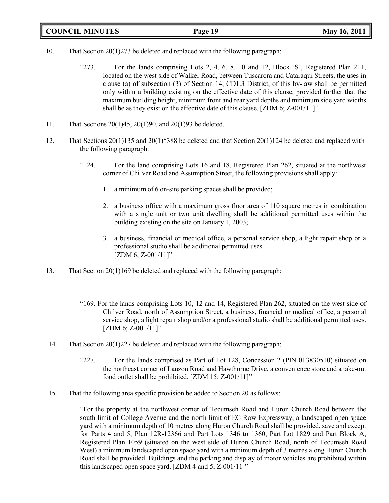|  | <b>COUNCIL MINUTES</b> |
|--|------------------------|
|--|------------------------|

- 10. That Section 20(1)273 be deleted and replaced with the following paragraph:
	- "273. For the lands comprising Lots 2, 4, 6, 8, 10 and 12, Block 'S', Registered Plan 211, located on the west side of Walker Road, between Tuscarora and Cataraqui Streets, the uses in clause (a) of subsection (3) of Section 14, CD1.3 District, of this by-law shall be permitted only within a building existing on the effective date of this clause, provided further that the maximum building height, minimum front and rear yard depths and minimum side yard widths shall be as they exist on the effective date of this clause. [ZDM 6; Z-001/11]"
- 11. That Sections 20(1)45, 20(1)90, and 20(1)93 be deleted.
- 12. That Sections 20(1)135 and 20(1)\*388 be deleted and that Section 20(1)124 be deleted and replaced with the following paragraph:
	- "124. For the land comprising Lots 16 and 18, Registered Plan 262, situated at the northwest corner of Chilver Road and Assumption Street, the following provisions shall apply:
		- 1. a minimum of 6 on-site parking spaces shall be provided;
		- 2. a business office with a maximum gross floor area of 110 square metres in combination with a single unit or two unit dwelling shall be additional permitted uses within the building existing on the site on January 1, 2003;
		- 3. a business, financial or medical office, a personal service shop, a light repair shop or a professional studio shall be additional permitted uses. [ZDM 6; Z-001/11]"
- 13. That Section 20(1)169 be deleted and replaced with the following paragraph:
	- "169. For the lands comprising Lots 10, 12 and 14, Registered Plan 262, situated on the west side of Chilver Road, north of Assumption Street, a business, financial or medical office, a personal service shop, a light repair shop and/or a professional studio shall be additional permitted uses.  $[ZDM 6; Z-001/11]$ "
- 14. That Section 20(1)227 be deleted and replaced with the following paragraph:
	- "227. For the lands comprised as Part of Lot 128, Concession 2 (PIN 013830510) situated on the northeast corner of Lauzon Road and Hawthorne Drive, a convenience store and a take-out food outlet shall be prohibited. [ZDM 15; Z-001/11]"
- 15. That the following area specific provision be added to Section 20 as follows:

"For the property at the northwest corner of Tecumseh Road and Huron Church Road between the south limit of College Avenue and the north limit of EC Row Expressway, a landscaped open space yard with a minimum depth of 10 metres along Huron Church Road shall be provided, save and except for Parts 4 and 5, Plan 12R-12366 and Part Lots 1346 to 1360, Part Lot 1829 and Part Block A, Registered Plan 1059 (situated on the west side of Huron Church Road, north of Tecumseh Road West) a minimum landscaped open space yard with a minimum depth of 3 metres along Huron Church Road shall be provided. Buildings and the parking and display of motor vehicles are prohibited within this landscaped open space yard. [ZDM 4 and 5; Z-001/11]"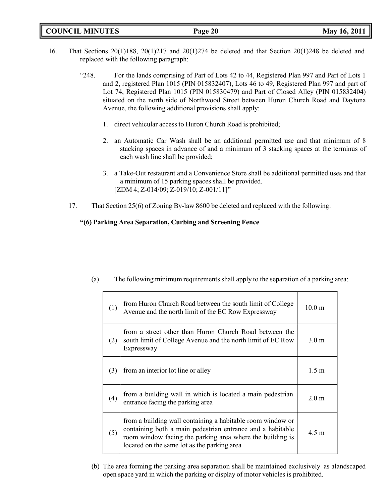| <b>COUNCIL MINUTES</b> |  |  |
|------------------------|--|--|
|------------------------|--|--|

- 16. That Sections 20(1)188, 20(1)217 and 20(1)274 be deleted and that Section 20(1)248 be deleted and replaced with the following paragraph:
	- "248. For the lands comprising of Part of Lots 42 to 44, Registered Plan 997 and Part of Lots 1 and 2, registered Plan 1015 (PIN 015832407), Lots 46 to 49, Registered Plan 997 and part of Lot 74, Registered Plan 1015 (PIN 015830479) and Part of Closed Alley (PIN 015832404) situated on the north side of Northwood Street between Huron Church Road and Daytona Avenue, the following additional provisions shall apply:
		- 1. direct vehicular access to Huron Church Road is prohibited;
		- 2. an Automatic Car Wash shall be an additional permitted use and that minimum of 8 stacking spaces in advance of and a minimum of 3 stacking spaces at the terminus of each wash line shall be provided;
		- 3. a Take-Out restaurant and a Convenience Store shall be additional permitted uses and that a minimum of 15 parking spaces shall be provided. [ZDM 4; Z-014/09; Z-019/10; Z-001/11]"
	- 17. That Section 25(6) of Zoning By-law 8600 be deleted and replaced with the following:

### **"(6) Parking Area Separation, Curbing and Screening Fence**

| (1) | from Huron Church Road between the south limit of College<br>Avenue and the north limit of the EC Row Expressway                                                                                                                     | $10.0 \text{ m}$ |
|-----|--------------------------------------------------------------------------------------------------------------------------------------------------------------------------------------------------------------------------------------|------------------|
| (2) | from a street other than Huron Church Road between the<br>south limit of College Avenue and the north limit of EC Row<br>Expressway                                                                                                  | 3.0 <sub>m</sub> |
| (3) | from an interior lot line or alley                                                                                                                                                                                                   | $1.5 \text{ m}$  |
| (4) | from a building wall in which is located a main pedestrian<br>entrance facing the parking area                                                                                                                                       | 2.0 <sub>m</sub> |
| (5) | from a building wall containing a habitable room window or<br>containing both a main pedestrian entrance and a habitable<br>room window facing the parking area where the building is<br>located on the same lot as the parking area | $4.5 \text{ m}$  |

(a) The following minimum requirements shall apply to the separation of a parking area:

(b) The area forming the parking area separation shall be maintained exclusively as alandscaped open space yard in which the parking or display of motor vehicles is prohibited.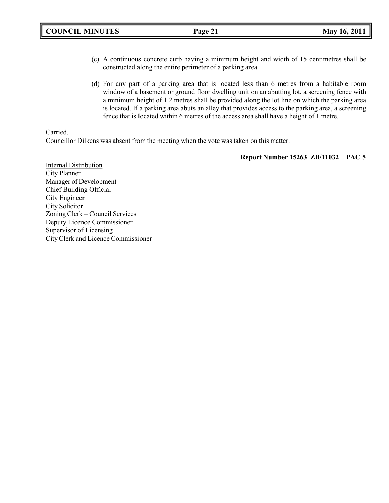- (c) A continuous concrete curb having a minimum height and width of 15 centimetres shall be constructed along the entire perimeter of a parking area.
- (d) For any part of a parking area that is located less than 6 metres from a habitable room window of a basement or ground floor dwelling unit on an abutting lot, a screening fence with a minimum height of 1.2 metres shall be provided along the lot line on which the parking area is located. If a parking area abuts an alley that provides access to the parking area, a screening fence that is located within 6 metres of the access area shall have a height of 1 metre.

#### Carried.

Councillor Dilkens was absent from the meeting when the vote was taken on this matter.

**Report Number 15263 ZB/11032 PAC 5**

Internal Distribution City Planner Manager of Development Chief Building Official City Engineer City Solicitor Zoning Clerk – Council Services Deputy Licence Commissioner Supervisor of Licensing City Clerk and Licence Commissioner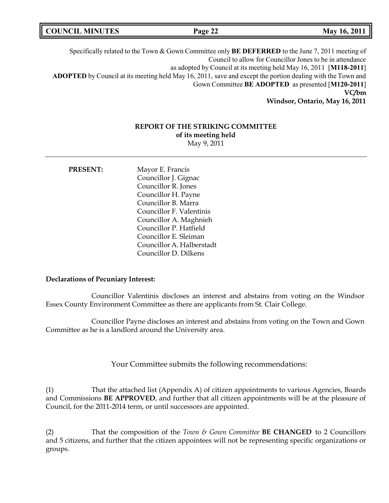| <b>COUNCIL MINUTES</b> | Page 22 | May 16, 2011 |
|------------------------|---------|--------------|
|------------------------|---------|--------------|

Specifically related to the Town & Gown Committee only **BE DEFERRED** to the June 7, 2011 meeting of Council to allow for Councillor Jones to be in attendance as adopted by Council at its meeting held May 16, 2011 [**M118-2011**] **ADOPTED** by Council at its meeting held May 16, 2011, save and except the portion dealing with the Town and Gown Committee **BE ADOPTED** as presented [**M120-2011**] **VC/bm Windsor, Ontario, May 16, 2011**

#### **REPORT OF THE STRIKING COMMITTEE**

**of its meeting held** May 9, 2011

**PRESENT:** Mayor E. Francis Councillor J. Gignac Councillor R. Jones Councillor H. Payne Councillor B. Marra Councillor F. Valentinis Councillor A. Maghnieh Councillor P. Hatfield Councillor E. Sleiman Councillor A. Halberstadt Councillor D. Dilkens

#### **Declarations of Pecuniary Interest:**

Councillor Valentinis discloses an interest and abstains from voting on the Windsor Essex County Environment Committee as there are applicants from St. Clair College.

Councillor Payne discloses an interest and abstains from voting on the Town and Gown Committee as he is a landlord around the University area.

Your Committee submits the following recommendations:

(1) That the attached list (Appendix A) of citizen appointments to various Agencies, Boards and Commissions **BE APPROVED**, and further that all citizen appointments will be at the pleasure of Council, for the 2011-2014 term, or until successors are appointed.

(2) That the composition of the *Town & Gown Committee* **BE CHANGED** to 2 Councillors and 5 citizens, and further that the citizen appointees will not be representing specific organizations or groups.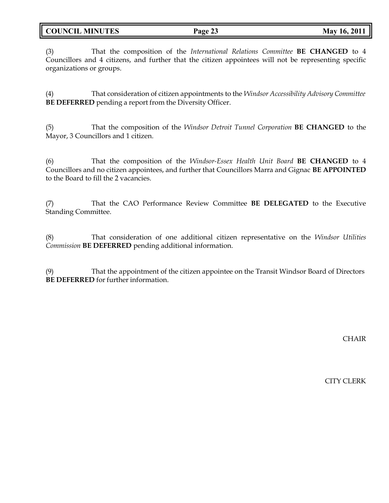**COUNCIL MINUTES Page 23 May 16, 2011**

(3) That the composition of the *International Relations Committee* **BE CHANGED** to 4 Councillors and 4 citizens, and further that the citizen appointees will not be representing specific organizations or groups.

(4) That consideration of citizen appointments to the *Windsor Accessibility Advisory Committee* **BE DEFERRED** pending a report from the Diversity Officer.

(5) That the composition of the *Windsor Detroit Tunnel Corporation* **BE CHANGED** to the Mayor, 3 Councillors and 1 citizen.

(6) That the composition of the *Windsor-Essex Health Unit Board* **BE CHANGED** to 4 Councillors and no citizen appointees, and further that Councillors Marra and Gignac **BE APPOINTED** to the Board to fill the 2 vacancies.

(7) That the CAO Performance Review Committee **BE DELEGATED** to the Executive Standing Committee.

(8) That consideration of one additional citizen representative on the *Windsor Utilities Commission* **BE DEFERRED** pending additional information.

(9) That the appointment of the citizen appointee on the Transit Windsor Board of Directors **BE DEFERRED** for further information.

**CHAIR** 

CITY CLERK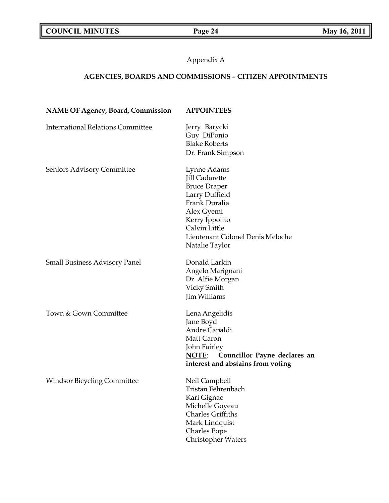Appendix A

# **AGENCIES, BOARDS AND COMMISSIONS** *–* **CITIZEN APPOINTMENTS**

| <b>NAME OF Agency, Board, Commission</b> | <b>APPOINTEES</b>                                                                                                                                                                                     |
|------------------------------------------|-------------------------------------------------------------------------------------------------------------------------------------------------------------------------------------------------------|
| <b>International Relations Committee</b> | Jerry Barycki<br>Guy DiPonio<br><b>Blake Roberts</b><br>Dr. Frank Simpson                                                                                                                             |
| Seniors Advisory Committee               | Lynne Adams<br><b>Jill Cadarette</b><br><b>Bruce Draper</b><br>Larry Duffield<br>Frank Duralia<br>Alex Gyemi<br>Kerry Ippolito<br>Calvin Little<br>Lieutenant Colonel Denis Meloche<br>Natalie Taylor |
| <b>Small Business Advisory Panel</b>     | Donald Larkin<br>Angelo Marignani<br>Dr. Alfie Morgan<br>Vicky Smith<br><b>Jim Williams</b>                                                                                                           |
| Town & Gown Committee                    | Lena Angelidis<br>Jane Boyd<br>Andre Capaldi<br>Matt Caron<br>John Fairley<br>Councillor Payne declares an<br>NOTE:<br>interest and abstains from voting                                              |
| <b>Windsor Bicycling Committee</b>       | Neil Campbell<br>Tristan Fehrenbach<br>Kari Gignac<br>Michelle Goyeau<br><b>Charles Griffiths</b><br>Mark Lindquist<br><b>Charles Pope</b><br>Christopher Waters                                      |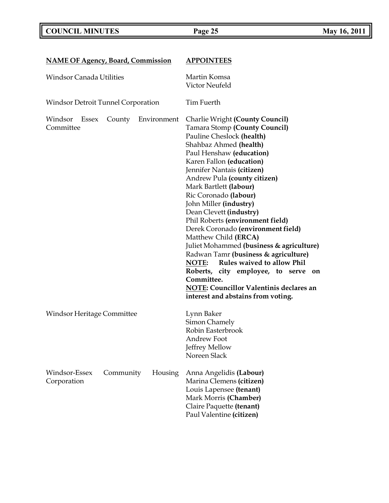# **COUNCIL MINUTES Page 25 May 16, 2011**

| <b>NAME OF Agency, Board, Commission</b>               | <b>APPOINTEES</b>                                                                                                                                                                                                                                                                                                                                                                                                                                                                                                                                                                                                                                                                                                                                |  |
|--------------------------------------------------------|--------------------------------------------------------------------------------------------------------------------------------------------------------------------------------------------------------------------------------------------------------------------------------------------------------------------------------------------------------------------------------------------------------------------------------------------------------------------------------------------------------------------------------------------------------------------------------------------------------------------------------------------------------------------------------------------------------------------------------------------------|--|
| <b>Windsor Canada Utilities</b>                        | Martin Komsa<br>Victor Neufeld                                                                                                                                                                                                                                                                                                                                                                                                                                                                                                                                                                                                                                                                                                                   |  |
| <b>Windsor Detroit Tunnel Corporation</b>              | Tim Fuerth                                                                                                                                                                                                                                                                                                                                                                                                                                                                                                                                                                                                                                                                                                                                       |  |
| Windsor<br>Essex<br>County<br>Environment<br>Committee | <b>Charlie Wright (County Council)</b><br><b>Tamara Stomp (County Council)</b><br>Pauline Cheslock (health)<br>Shahbaz Ahmed (health)<br>Paul Henshaw (education)<br>Karen Fallon (education)<br>Jennifer Nantais (citizen)<br>Andrew Pula (county citizen)<br>Mark Bartlett (labour)<br>Ric Coronado (labour)<br>John Miller (industry)<br>Dean Clevett (industry)<br>Phil Roberts (environment field)<br>Derek Coronado (environment field)<br>Matthew Child (ERCA)<br>Juliet Mohammed (business & agriculture)<br>Radwan Tamr (business & agriculture)<br>Rules waived to allow Phil<br>NOTE:<br>Roberts, city employee, to serve<br>on<br>Committee.<br><b>NOTE: Councillor Valentinis declares an</b><br>interest and abstains from voting. |  |
| Windsor Heritage Committee                             | Lynn Baker<br>Simon Chamely<br>Robin Easterbrook<br>Andrew Foot<br>Jeffrey Mellow<br>Noreen Slack                                                                                                                                                                                                                                                                                                                                                                                                                                                                                                                                                                                                                                                |  |
| Windsor-Essex<br>Community<br>Housing<br>Corporation   | Anna Angelidis (Labour)<br>Marina Clemens (citizen)<br>Louis Lapensee (tenant)<br>Mark Morris (Chamber)<br>Claire Paquette (tenant)<br>Paul Valentine (citizen)                                                                                                                                                                                                                                                                                                                                                                                                                                                                                                                                                                                  |  |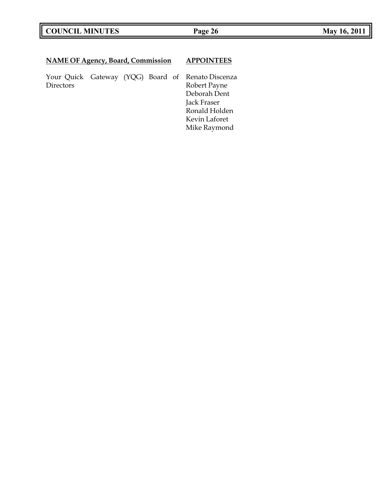# **COUNCIL MINUTES Page 26 May 16, 2011**

# **NAME OF Agency, Board, Commission APPOINTEES**

Your Quick Gateway (YQG) Board of Renato Discenza

Robert Payne Deborah Dent Jack Fraser Ronald Holden Kevin Laforet Mike Raymond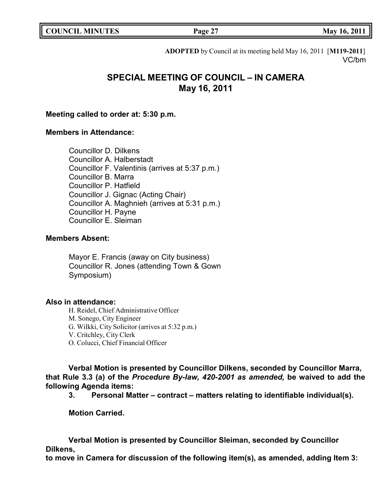|  | <b>COUNCIL MINUTES</b> |
|--|------------------------|
|--|------------------------|

**COUNCIL EXECUTE: Page 27 May 16, 2011** 

**ADOPTED** by Council at its meeting held May 16, 2011 [**M119-2011**] VC/bm

# **SPECIAL MEETING OF COUNCIL – IN CAMERA May 16, 2011**

### **Meeting called to order at: 5:30 p.m.**

# **Members in Attendance:**

Councillor D. Dilkens Councillor A. Halberstadt Councillor F. Valentinis (arrives at 5:37 p.m.) Councillor B. Marra Councillor P. Hatfield Councillor J. Gignac (Acting Chair) Councillor A. Maghnieh (arrives at 5:31 p.m.) Councillor H. Payne Councillor E. Sleiman

# **Members Absent:**

Mayor E. Francis (away on City business) Councillor R. Jones (attending Town & Gown Symposium)

# **Also in attendance:**

H. Reidel, Chief Administrative Officer M. Sonego, City Engineer G. Wilkki, City Solicitor (arrives at 5:32 p.m.) V. Critchley, City Clerk O. Colucci, Chief Financial Officer

**Verbal Motion is presented by Councillor Dilkens, seconded by Councillor Marra, that Rule 3.3 (a) of the** *Procedure By-law, 420-2001 as amended,* **be waived to add the following Agenda items:**

**3. Personal Matter – contract – matters relating to identifiable individual(s).**

**Motion Carried.**

**Verbal Motion is presented by Councillor Sleiman, seconded by Councillor Dilkens,**

**to move in Camera for discussion of the following item(s), as amended, adding Item 3:**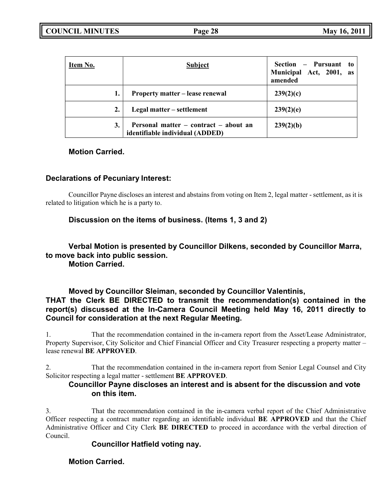| Item No. | <b>Subject</b>                                                           | Section – Pursuant to<br>Municipal Act, 2001, as<br>amended |
|----------|--------------------------------------------------------------------------|-------------------------------------------------------------|
|          | Property matter – lease renewal                                          | 239(2)(c)                                                   |
| 2.       | Legal matter – settlement                                                | 239(2)(e)                                                   |
| 3.       | Personal matter – contract – about an<br>identifiable individual (ADDED) | 239(2)(b)                                                   |

# **Motion Carried.**

# **Declarations of Pecuniary Interest:**

Councillor Payne discloses an interest and abstains from voting on Item 2, legal matter - settlement, as it is related to litigation which he is a party to.

# **Discussion on the items of business. (Items 1, 3 and 2)**

# **Verbal Motion is presented by Councillor Dilkens, seconded by Councillor Marra, to move back into public session.**

**Motion Carried.**

# **Moved by Councillor Sleiman, seconded by Councillor Valentinis, THAT the Clerk BE DIRECTED to transmit the recommendation(s) contained in the report(s) discussed at the In-Camera Council Meeting held May 16, 2011 directly to Council for consideration at the next Regular Meeting.**

1. That the recommendation contained in the in-camera report from the Asset/Lease Administrator, Property Supervisor, City Solicitor and Chief Financial Officer and City Treasurer respecting a property matter – lease renewal **BE APPROVED**.

2. That the recommendation contained in the in-camera report from Senior Legal Counsel and City Solicitor respecting a legal matter - settlement **BE APPROVED**.

# **Councillor Payne discloses an interest and is absent for the discussion and vote on this item.**

3. That the recommendation contained in the in-camera verbal report of the Chief Administrative Officer respecting a contract matter regarding an identifiable individual **BE APPROVED** and that the Chief Administrative Officer and City Clerk **BE DIRECTED** to proceed in accordance with the verbal direction of Council.

# **Councillor Hatfield voting nay.**

# **Motion Carried.**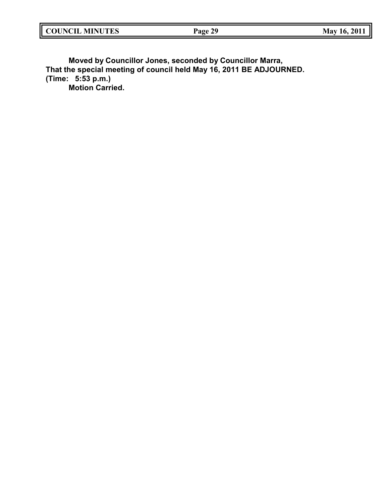| <b>COUNCIL</b><br><b>MINUTES</b> | 20<br>Page<br>$1$ all $2$ | 201.<br>Mav<br>16. |
|----------------------------------|---------------------------|--------------------|
|                                  |                           |                    |

**Moved by Councillor Jones, seconded by Councillor Marra, That the special meeting of council held May 16, 2011 BE ADJOURNED. (Time: 5:53 p.m.) Motion Carried.**